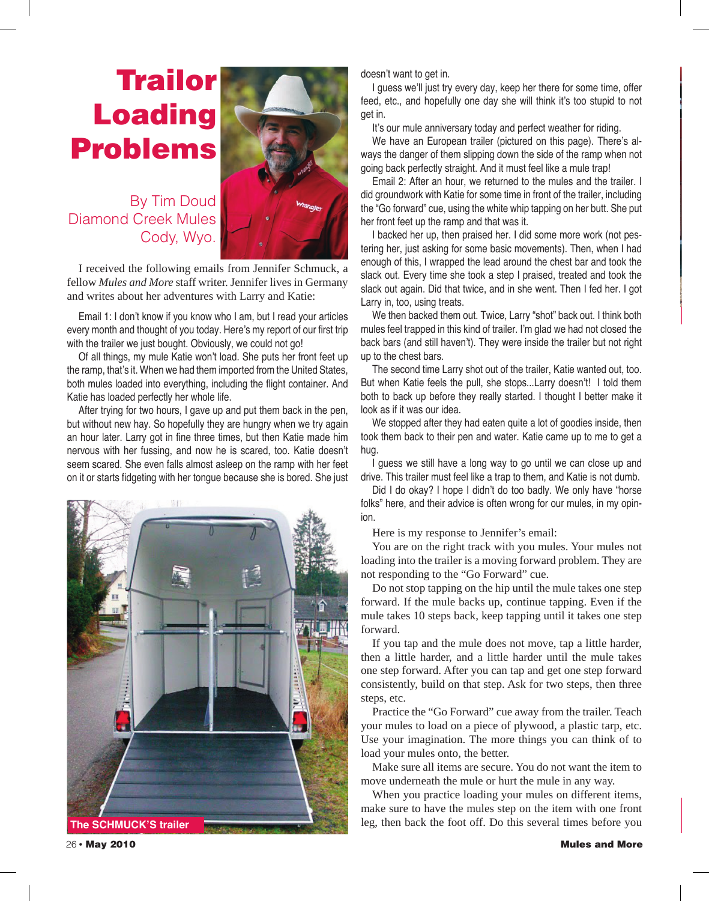## Trailor Loading Problems

## By Tim Doud Diamond Creek Mules Cody, Wyo.



I received the following emails from Jennifer Schmuck, a fellow *Mules and More* staff writer. Jennifer lives in Germany and writes about her adventures with Larry and Katie:

Email 1: I don't know if you know who I am, but I read your articles every month and thought of you today. Here's my report of our first trip with the trailer we just bought. Obviously, we could not go!

Of all things, my mule Katie won't load. She puts her front feet up the ramp, that's it. When we had them imported from the United States, both mules loaded into everything, including the flight container. And Katie has loaded perfectly her whole life.

After trying for two hours, I gave up and put them back in the pen, but without new hay. So hopefully they are hungry when we try again an hour later. Larry got in fine three times, but then Katie made him nervous with her fussing, and now he is scared, too. Katie doesn't seem scared. She even falls almost asleep on the ramp with her feet on it or starts fidgeting with her tongue because she is bored. She just



doesn't want to get in.

I guess we'll just try every day, keep her there for some time, offer feed, etc., and hopefully one day she will think it's too stupid to not get in.

It's our mule anniversary today and perfect weather for riding.

We have an European trailer (pictured on this page). There's always the danger of them slipping down the side of the ramp when not going back perfectly straight. And it must feel like a mule trap!

Email 2: After an hour, we returned to the mules and the trailer. I did groundwork with Katie for some time in front of the trailer, including the "Go forward" cue, using the white whip tapping on her butt. She put her front feet up the ramp and that was it.

I backed her up, then praised her. I did some more work (not pestering her, just asking for some basic movements). Then, when I had enough of this, I wrapped the lead around the chest bar and took the slack out. Every time she took a step I praised, treated and took the slack out again. Did that twice, and in she went. Then I fed her. I got Larry in, too, using treats.

We then backed them out. Twice, Larry "shot" back out. I think both mules feel trapped in this kind of trailer. I'm glad we had not closed the back bars (and still haven't). They were inside the trailer but not right up to the chest bars.

The second time Larry shot out of the trailer, Katie wanted out, too. But when Katie feels the pull, she stops...Larry doesn't! I told them both to back up before they really started. I thought I better make it look as if it was our idea.

We stopped after they had eaten quite a lot of goodies inside, then took them back to their pen and water. Katie came up to me to get a hug.

I guess we still have a long way to go until we can close up and drive. This trailer must feel like a trap to them, and Katie is not dumb.

Did I do okay? I hope I didn't do too badly. We only have "horse folks" here, and their advice is often wrong for our mules, in my opinion.

Here is my response to Jennifer's email:

You are on the right track with you mules. Your mules not loading into the trailer is a moving forward problem. They are not responding to the "Go Forward" cue.

Do not stop tapping on the hip until the mule takes one step forward. If the mule backs up, continue tapping. Even if the mule takes 10 steps back, keep tapping until it takes one step forward.

If you tap and the mule does not move, tap a little harder, then a little harder, and a little harder until the mule takes one step forward. After you can tap and get one step forward consistently, build on that step. Ask for two steps, then three steps, etc.

Practice the "Go Forward" cue away from the trailer. Teach your mules to load on a piece of plywood, a plastic tarp, etc. Use your imagination. The more things you can think of to load your mules onto, the better.

Make sure all items are secure. You do not want the item to move underneath the mule or hurt the mule in any way.

When you practice loading your mules on different items, make sure to have the mules step on the item with one front leg, then back the foot off. Do this several times before you

26 **•** May 2010 Mules and More